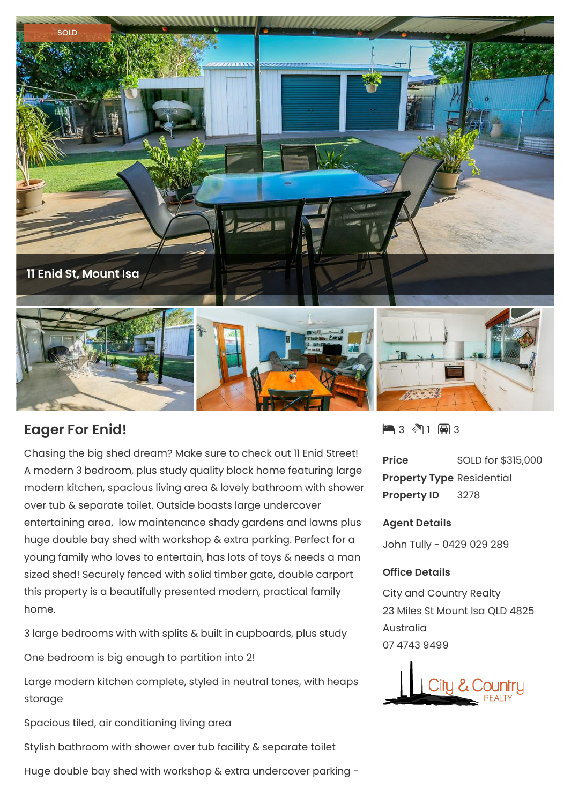

## **Eager For Enid!**

Chasing the big shed dream? Make sure to check out 11 Enid Street! A modern 3 bedroom, plus study quality block home featuring large modern kitchen, spacious living area & lovely bathroom with shower over tub & separate toilet. Outside boasts large undercover entertaining area, low maintenance shady gardens and lawns plus huge double bay shed with workshop & extra parking. Perfect for a young family who loves to entertain, has lots of toys & needs a man sized shed! Securely fenced with solid timber gate, double carport this property is a beautifully presented modern, practical family home.

3 large bedrooms with with splits & built in cupboards, plus study

One bedroom is big enough to partition into 2!

Large modern kitchen complete, styled in neutral tones, with heaps storage

Spacious tiled, air conditioning living area

Stylish bathroom with shower over tub facility & separate toilet

Huge double bay shed with workshop & extra undercover parking -

3 1 3

**Price** SOLD for \$315,000 **Property Type** Residential **Property ID** 3278

## **Agent Details**

John Tully - 0429 029 289

## **Office Details**

City and Country Realty 23 Miles St Mount Isa QLD 4825 Australia 07 4743 9499